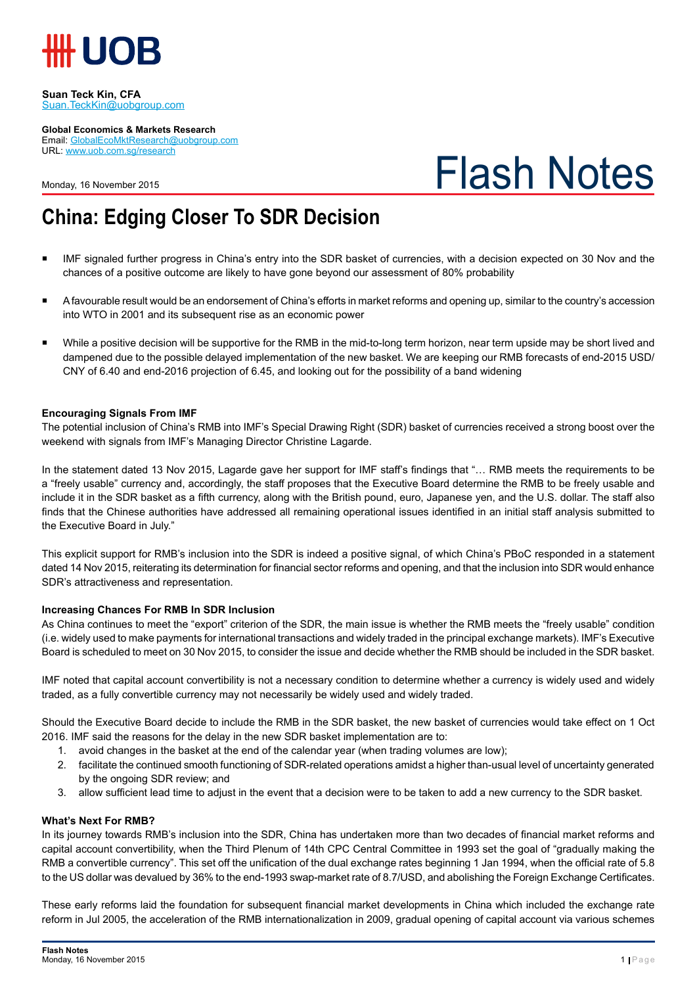

#### **Suan Teck Kin, CFA** Suan.TeckKin@uobgroup.com

**Global Economics & Markets Research**

Email: GlobalEcoMktResearch@uobgroup.com URL: www.uob.com.sg/research

Monday, 16 November 2015

# Flash Notes

## **China: Edging Closer To SDR Decision**

- IMF signaled further progress in China's entry into the SDR basket of currencies, with a decision expected on 30 Nov and the chances of a positive outcome are likely to have gone beyond our assessment of 80% probability
- A favourable result would be an endorsement of China's efforts in market reforms and opening up, similar to the country's accession into WTO in 2001 and its subsequent rise as an economic power
- While a positive decision will be supportive for the RMB in the mid-to-long term horizon, near term upside may be short lived and dampened due to the possible delayed implementation of the new basket. We are keeping our RMB forecasts of end-2015 USD/ CNY of 6.40 and end-2016 projection of 6.45, and looking out for the possibility of a band widening

### **Encouraging Signals From IMF**

The potential inclusion of China's RMB into IMF's Special Drawing Right (SDR) basket of currencies received a strong boost over the weekend with signals from IMF's Managing Director Christine Lagarde.

In the statement dated 13 Nov 2015, Lagarde gave her support for IMF staff's findings that "… RMB meets the requirements to be a "freely usable" currency and, accordingly, the staff proposes that the Executive Board determine the RMB to be freely usable and include it in the SDR basket as a fifth currency, along with the British pound, euro, Japanese yen, and the U.S. dollar. The staff also finds that the Chinese authorities have addressed all remaining operational issues identified in an initial staff analysis submitted to the Executive Board in July."

This explicit support for RMB's inclusion into the SDR is indeed a positive signal, of which China's PBoC responded in a statement dated 14 Nov 2015, reiterating its determination for financial sector reforms and opening, and that the inclusion into SDR would enhance SDR's attractiveness and representation.

### **Increasing Chances For RMB In SDR Inclusion**

As China continues to meet the "export" criterion of the SDR, the main issue is whether the RMB meets the "freely usable" condition (i.e. widely used to make payments for international transactions and widely traded in the principal exchange markets). IMF's Executive Board is scheduled to meet on 30 Nov 2015, to consider the issue and decide whether the RMB should be included in the SDR basket.

IMF noted that capital account convertibility is not a necessary condition to determine whether a currency is widely used and widely traded, as a fully convertible currency may not necessarily be widely used and widely traded.

Should the Executive Board decide to include the RMB in the SDR basket, the new basket of currencies would take effect on 1 Oct 2016. IMF said the reasons for the delay in the new SDR basket implementation are to:

- 1. avoid changes in the basket at the end of the calendar year (when trading volumes are low);
- 2. facilitate the continued smooth functioning of SDR-related operations amidst a higher than-usual level of uncertainty generated by the ongoing SDR review; and
- 3. allow sufficient lead time to adjust in the event that a decision were to be taken to add a new currency to the SDR basket.

### **What's Next For RMB?**

In its journey towards RMB's inclusion into the SDR, China has undertaken more than two decades of financial market reforms and capital account convertibility, when the Third Plenum of 14th CPC Central Committee in 1993 set the goal of "gradually making the RMB a convertible currency". This set off the unification of the dual exchange rates beginning 1 Jan 1994, when the official rate of 5.8 to the US dollar was devalued by 36% to the end-1993 swap-market rate of 8.7/USD, and abolishing the Foreign Exchange Certificates.

These early reforms laid the foundation for subsequent financial market developments in China which included the exchange rate reform in Jul 2005, the acceleration of the RMB internationalization in 2009, gradual opening of capital account via various schemes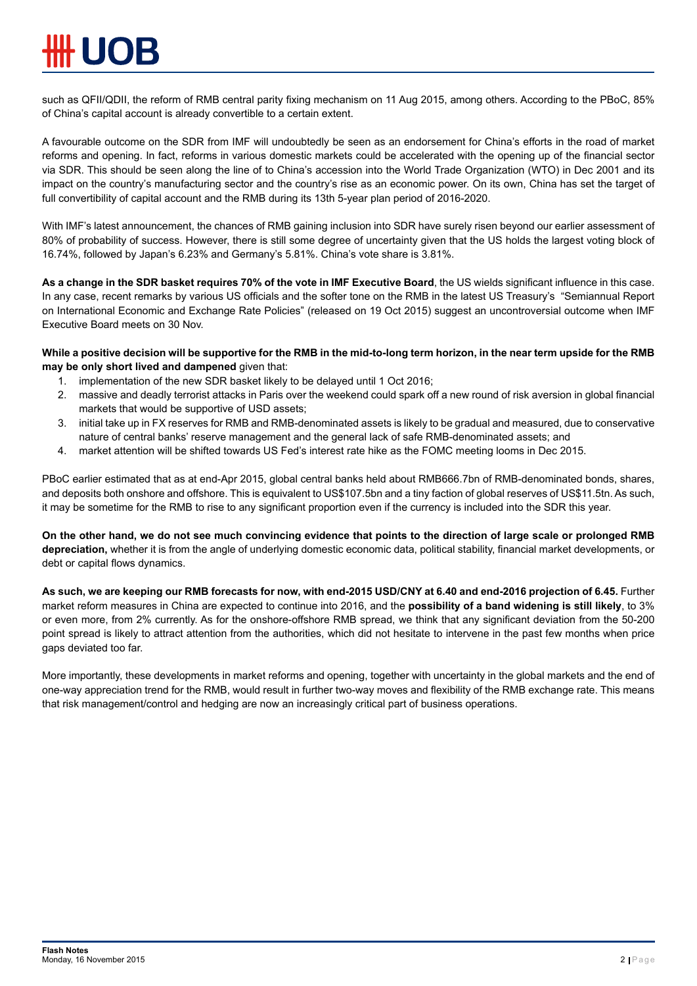such as QFII/QDII, the reform of RMB central parity fixing mechanism on 11 Aug 2015, among others. According to the PBoC, 85% of China's capital account is already convertible to a certain extent.

A favourable outcome on the SDR from IMF will undoubtedly be seen as an endorsement for China's efforts in the road of market reforms and opening. In fact, reforms in various domestic markets could be accelerated with the opening up of the financial sector via SDR. This should be seen along the line of to China's accession into the World Trade Organization (WTO) in Dec 2001 and its impact on the country's manufacturing sector and the country's rise as an economic power. On its own, China has set the target of full convertibility of capital account and the RMB during its 13th 5-year plan period of 2016-2020.

With IMF's latest announcement, the chances of RMB gaining inclusion into SDR have surely risen beyond our earlier assessment of 80% of probability of success. However, there is still some degree of uncertainty given that the US holds the largest voting block of 16.74%, followed by Japan's 6.23% and Germany's 5.81%. China's vote share is 3.81%.

**As a change in the SDR basket requires 70% of the vote in IMF Executive Board**, the US wields significant influence in this case. In any case, recent remarks by various US officials and the softer tone on the RMB in the latest US Treasury's "Semiannual Report on International Economic and Exchange Rate Policies" (released on 19 Oct 2015) suggest an uncontroversial outcome when IMF Executive Board meets on 30 Nov.

**While a positive decision will be supportive for the RMB in the mid-to-long term horizon, in the near term upside for the RMB may be only short lived and dampened** given that:

- 1. implementation of the new SDR basket likely to be delayed until 1 Oct 2016;
- 2. massive and deadly terrorist attacks in Paris over the weekend could spark off a new round of risk aversion in global financial markets that would be supportive of USD assets;
- 3. initial take up in FX reserves for RMB and RMB-denominated assets is likely to be gradual and measured, due to conservative nature of central banks' reserve management and the general lack of safe RMB-denominated assets; and
- 4. market attention will be shifted towards US Fed's interest rate hike as the FOMC meeting looms in Dec 2015.

PBoC earlier estimated that as at end-Apr 2015, global central banks held about RMB666.7bn of RMB-denominated bonds, shares, and deposits both onshore and offshore. This is equivalent to US\$107.5bn and a tiny faction of global reserves of US\$11.5tn. As such, it may be sometime for the RMB to rise to any significant proportion even if the currency is included into the SDR this year.

**On the other hand, we do not see much convincing evidence that points to the direction of large scale or prolonged RMB depreciation,** whether it is from the angle of underlying domestic economic data, political stability, financial market developments, or debt or capital flows dynamics.

**As such, we are keeping our RMB forecasts for now, with end-2015 USD/CNY at 6.40 and end-2016 projection of 6.45.** Further market reform measures in China are expected to continue into 2016, and the **possibility of a band widening is still likely**, to 3% or even more, from 2% currently. As for the onshore-offshore RMB spread, we think that any significant deviation from the 50-200 point spread is likely to attract attention from the authorities, which did not hesitate to intervene in the past few months when price gaps deviated too far.

More importantly, these developments in market reforms and opening, together with uncertainty in the global markets and the end of one-way appreciation trend for the RMB, would result in further two-way moves and flexibility of the RMB exchange rate. This means that risk management/control and hedging are now an increasingly critical part of business operations.